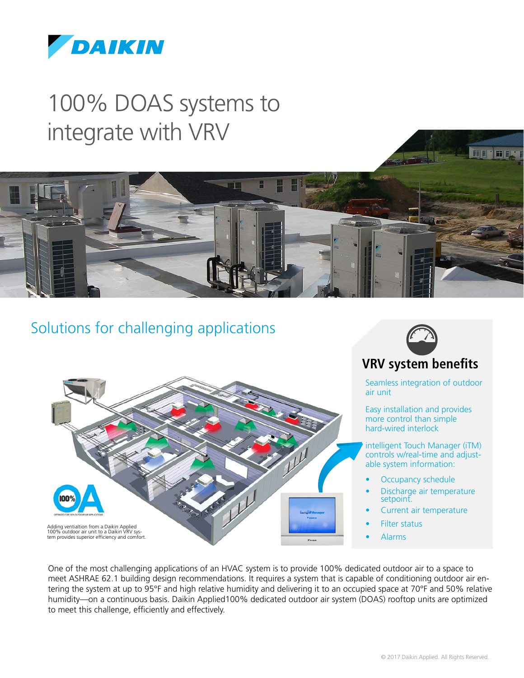

# 100% DOAS systems to integrate with VRV



### Solutions for challenging applications





### **VRV system benefits**

Seamless integration of outdoor air unit

Easy installation and provides more control than simple hard-wired interlock

intelligent Touch Manager (iTM) controls w/real-time and adjustable system information:

- Occupancy schedule
- Discharge air temperature setpoint.
- Current air temperature
- Filter status
- Alarms

One of the most challenging applications of an HVAC system is to provide 100% dedicated outdoor air to a space to meet ASHRAE 62.1 building design recommendations. It requires a system that is capable of conditioning outdoor air entering the system at up to 95°F and high relative humidity and delivering it to an occupied space at 70°F and 50% relative humidity—on a continuous basis. Daikin Applied100% dedicated outdoor air system (DOAS) rooftop units are optimized to meet this challenge, efficiently and effectively.